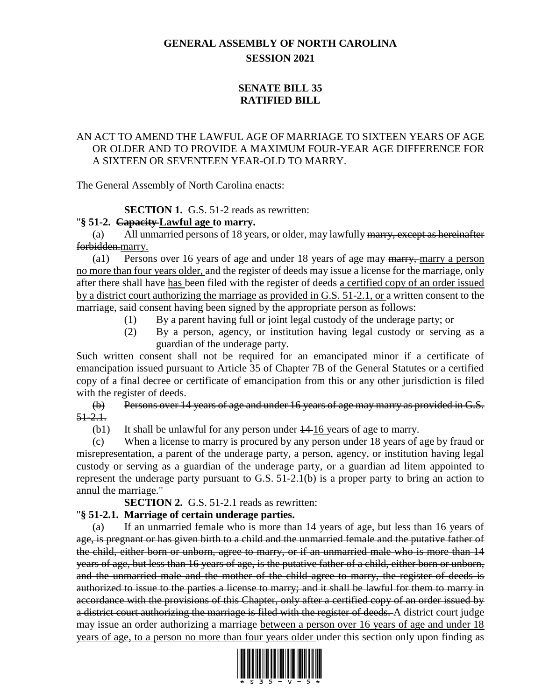# **GENERAL ASSEMBLY OF NORTH CAROLINA SESSION 2021**

# **SENATE BILL 35 RATIFIED BILL**

### AN ACT TO AMEND THE LAWFUL AGE OF MARRIAGE TO SIXTEEN YEARS OF AGE OR OLDER AND TO PROVIDE A MAXIMUM FOUR-YEAR AGE DIFFERENCE FOR A SIXTEEN OR SEVENTEEN YEAR-OLD TO MARRY.

The General Assembly of North Carolina enacts:

**SECTION 1.** G.S. 51-2 reads as rewritten:

### "**§ 51-2. Capacity Lawful age to marry.**

(a) All unmarried persons of 18 years, or older, may lawfully marry, except as hereinafter forbidden.marry.

(a1) Persons over 16 years of age and under 18 years of age may marry, marry a person no more than four years older, and the register of deeds may issue a license for the marriage, only after there shall have has been filed with the register of deeds a certified copy of an order issued by a district court authorizing the marriage as provided in G.S. 51-2.1, or a written consent to the marriage, said consent having been signed by the appropriate person as follows:

- (1) By a parent having full or joint legal custody of the underage party; or
- (2) By a person, agency, or institution having legal custody or serving as a guardian of the underage party.

Such written consent shall not be required for an emancipated minor if a certificate of emancipation issued pursuant to Article 35 of Chapter 7B of the General Statutes or a certified copy of a final decree or certificate of emancipation from this or any other jurisdiction is filed with the register of deeds.

(b) Persons over 14 years of age and under 16 years of age may marry as provided in G.S.  $51 - 2.1.$ 

(b1) It shall be unlawful for any person under  $\frac{14 \cdot 16}{2}$  years of age to marry.

(c) When a license to marry is procured by any person under 18 years of age by fraud or misrepresentation, a parent of the underage party, a person, agency, or institution having legal custody or serving as a guardian of the underage party, or a guardian ad litem appointed to represent the underage party pursuant to G.S. 51-2.1(b) is a proper party to bring an action to annul the marriage."

**SECTION 2.** G.S. 51-2.1 reads as rewritten:

### "**§ 51-2.1. Marriage of certain underage parties.**

(a) If an unmarried female who is more than 14 years of age, but less than 16 years of age, is pregnant or has given birth to a child and the unmarried female and the putative father of the child, either born or unborn, agree to marry, or if an unmarried male who is more than 14 years of age, but less than 16 years of age, is the putative father of a child, either born or unborn, and the unmarried male and the mother of the child agree to marry, the register of deeds is authorized to issue to the parties a license to marry; and it shall be lawful for them to marry in accordance with the provisions of this Chapter, only after a certified copy of an order issued by a district court authorizing the marriage is filed with the register of deeds. A district court judge may issue an order authorizing a marriage between a person over 16 years of age and under 18 years of age, to a person no more than four years older under this section only upon finding as

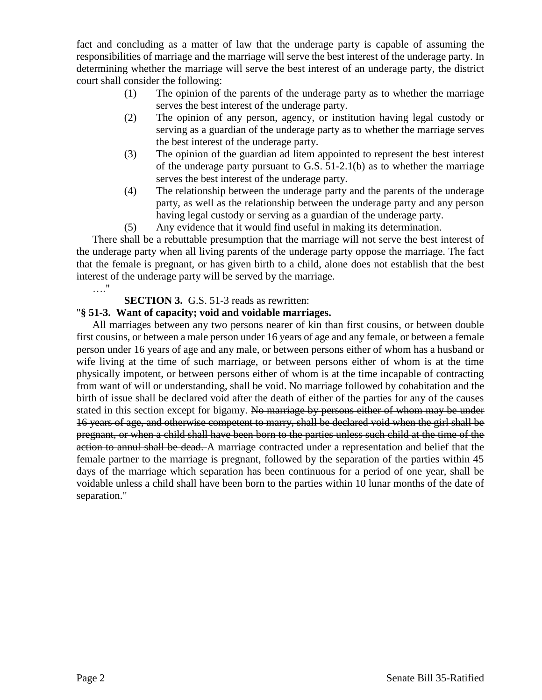fact and concluding as a matter of law that the underage party is capable of assuming the responsibilities of marriage and the marriage will serve the best interest of the underage party. In determining whether the marriage will serve the best interest of an underage party, the district court shall consider the following:

- (1) The opinion of the parents of the underage party as to whether the marriage serves the best interest of the underage party.
- (2) The opinion of any person, agency, or institution having legal custody or serving as a guardian of the underage party as to whether the marriage serves the best interest of the underage party.
- (3) The opinion of the guardian ad litem appointed to represent the best interest of the underage party pursuant to G.S. 51-2.1(b) as to whether the marriage serves the best interest of the underage party.
- (4) The relationship between the underage party and the parents of the underage party, as well as the relationship between the underage party and any person having legal custody or serving as a guardian of the underage party.
- (5) Any evidence that it would find useful in making its determination.

There shall be a rebuttable presumption that the marriage will not serve the best interest of the underage party when all living parents of the underage party oppose the marriage. The fact that the female is pregnant, or has given birth to a child, alone does not establish that the best interest of the underage party will be served by the marriage. …."

#### **SECTION 3.** G.S. 51-3 reads as rewritten:

#### "**§ 51-3. Want of capacity; void and voidable marriages.**

All marriages between any two persons nearer of kin than first cousins, or between double first cousins, or between a male person under 16 years of age and any female, or between a female person under 16 years of age and any male, or between persons either of whom has a husband or wife living at the time of such marriage, or between persons either of whom is at the time physically impotent, or between persons either of whom is at the time incapable of contracting from want of will or understanding, shall be void. No marriage followed by cohabitation and the birth of issue shall be declared void after the death of either of the parties for any of the causes stated in this section except for bigamy. No marriage by persons either of whom may be under 16 years of age, and otherwise competent to marry, shall be declared void when the girl shall be pregnant, or when a child shall have been born to the parties unless such child at the time of the action to annul shall be dead. A marriage contracted under a representation and belief that the female partner to the marriage is pregnant, followed by the separation of the parties within 45 days of the marriage which separation has been continuous for a period of one year, shall be voidable unless a child shall have been born to the parties within 10 lunar months of the date of separation."